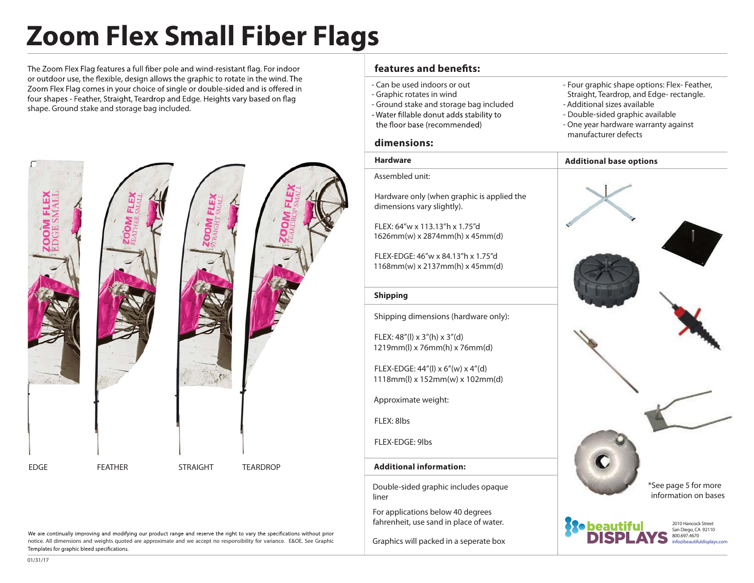# **Zoom Flex Small Fiber Flags**

The Zoom Flex Flag features a full fiber pole and wind-resistant flag. For indoor or outdoor use, the flexible, design allows the graphic to rotate in the wind. The Zoom Flex Flag comes in your choice of single or double-sided and is offered in four shapes - Feather, Straight, Teardrop and Edge. Heights vary based on flag shape. Ground stake and storage bag included.



### - Can be used indoors or out

**dimensions:**

Assembled unit:

dimensions vary slightly).

FLEX: 64"w x 113.13"h x 1.75"d 1626mm(w) x 2874mm(h) x 45mm(d)

**Hardware**

- Graphic rotates in wind

**features and benets:**

- Ground stake and storage bag included
- Water fillable donut adds stability to
- the floor base (recommended)

- Double-sided graphic available - One year hardware warranty against

- Additional sizes available

**Additional base options**

- Four graphic shape options: Flex- Feather,

Straight, Teardrop, and Edge- rectangle.

manufacturer defects



800.697.4670 info@beautifuldisplays.com

We are continually improving and modifying our product range and reserve the right to vary the specifications without prior notice. All dimensions and weights quoted are approximate and we accept no responsibility for variance. E&OE. See Graphic Templates for graphic bleed specifications.

**Shipping** Shipping dimensions (hardware only): FLEX: 48"(l) x 3"(h) x 3"(d) 1219mm(l) x 76mm(h) x 76mm(d) FLEX-EDGE: 46"w x 84.13"h x 1.75"d 1168mm(w) x 2137mm(h) x 45mm(d)

FLEX-EDGE: 44"(l) x 6"(w) x 4"(d) 1118mm(l) x 152mm(w) x 102mm(d)

Approximate weight:

FLEX: 8lbs

FLEX-EDGE: 9lbs

#### **Additional information:**

Double-sided graphic includes opaque liner

For applications below 40 degrees fahrenheit, use sand in place of water.

Graphics will packed in a seperate box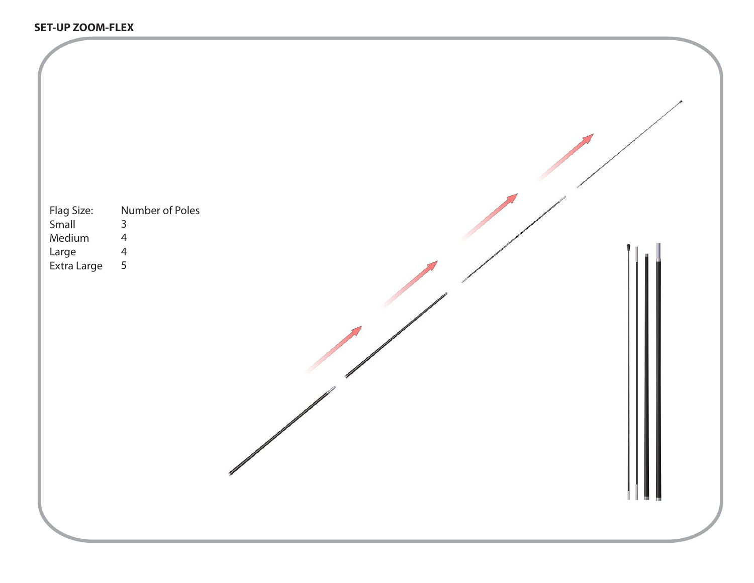| Flag Size:<br>Small<br>Medium<br>Large<br>Extra Large | Number of Poles<br>$\mathsf{3}$<br>$\overline{4}$<br>$\overline{4}$<br>5 |     |  |
|-------------------------------------------------------|--------------------------------------------------------------------------|-----|--|
|                                                       |                                                                          | ╟╽║ |  |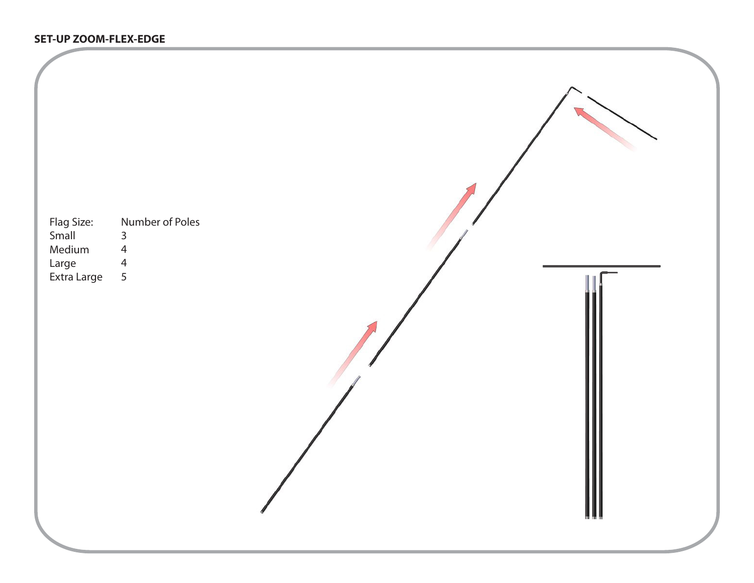#### **SET-UP ZOOM-FLEX-EDGE**

-

| Flag Size:<br>Small<br>Medium<br>Large<br>Extra Large | Number of Poles<br>$\frac{3}{4}$<br>$\frac{4}{5}$ |  |  |
|-------------------------------------------------------|---------------------------------------------------|--|--|
|                                                       |                                                   |  |  |
|                                                       |                                                   |  |  |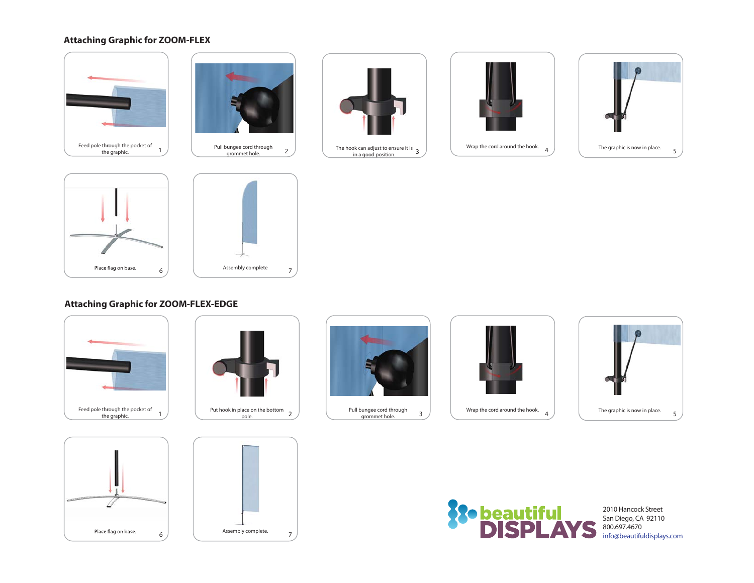#### **Attaching Graphic for ZOOM-FLEX**





grommet hole.









#### **Attaching Graphic for ZOOM-FLEX-EDGE**



Place flag on base.







Pull bungee cord through grommet hole.